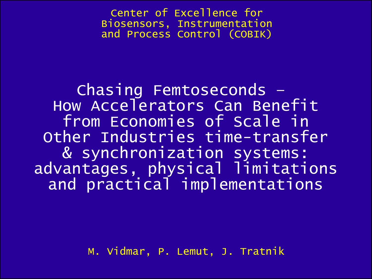Center of Excellence for Biosensors, Instrumentation and Process Control (COBIK)

Chasing Femtoseconds – How Accelerators Can Benefit from Economies of Scale in Other Industries time-transfer & synchronization systems: advantages, physical limitations and practical implementations

M. Vidmar, P. Lemut, J. Tratnik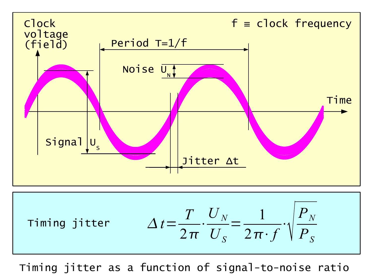

$$
\text{Timing jitter} \qquad \Delta t = \frac{T}{2\pi} \cdot \frac{U_N}{U_S} = \frac{1}{2\pi \cdot f} \cdot \sqrt{\frac{P_N}{P_S}}
$$

Timing jitter as a function of signal-to-noise ratio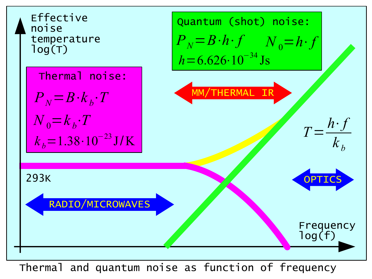

Thermal and quantum noise as function of frequency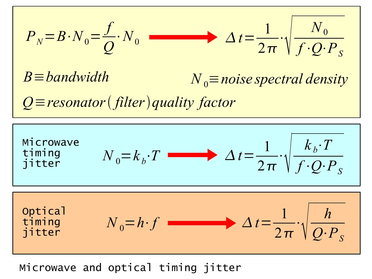$$
P_N = B \cdot N_0 = \frac{f}{Q} \cdot N_0 \qquad \longrightarrow \qquad \Delta t = \frac{1}{2\pi} \cdot \sqrt{\frac{N_0}{f \cdot Q \cdot P_S}}
$$

 $B \equiv$ *bandwidth*  $N_0 \equiv$ *noise spectral density* 

*Q*≡*resonator filterquality factor*

$$
\begin{array}{|l|l|}\n\hline\n\text{Microwave} \\
\text{time} \\
\hline\n\end{array}\n\qquad\nN_0 = k_b \cdot T \longrightarrow \Delta t = \frac{1}{2\pi} \cdot \sqrt{\frac{k_b \cdot T}{f \cdot Q \cdot P_S}}
$$
\n
$$
\begin{array}{|l|}\n\hline\n\text{optical} \\
\text{time} \\
\hline\n\end{array}\n\qquad\nN_0 = h \cdot f \longrightarrow \Delta t = \frac{1}{2\pi} \cdot \sqrt{\frac{h}{Q \cdot P_S}}
$$

Microwave and optical timing jitter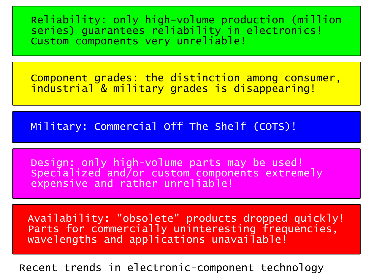Reliability: only high-volume production (million series) quarantees reliability in electronics! Custom components very unreliable!

Component grades: the distinction among consumer, industrial & military grades is disappearing!

Military: Commercial Off The Shelf (COTS)!

Design: only high-volume parts may be used! Specialized and/or custom components extremely expensive and rather unreliable!

Availability: "obsolete" products dropped quickly! Parts for commercially uninteresting frequencies, wavelengths and applications unavailable!

Recent trends in electronic-component technology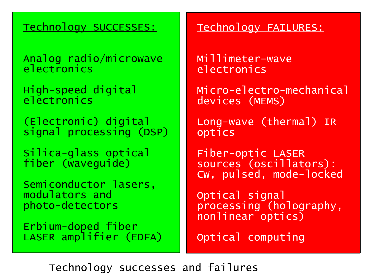## Technology SUCCESSES:

Analog radio/microwave electronics

High-speed digital electronics

(Electronic) digital signal processing (DSP)

Silica-glass optical fiber (waveguide)

Semiconductor lasers, modulators and photo-detectors

Erbium-doped fiber LASER amplifier (EDFA)

## Technology FAILURES:

Millimeter-wave electronics

Micro-electro-mechanical devices (MEMS)

Long-wave (thermal) IR optics

Fiber-optic LASER sources (oscillators): CW, pulsed, mode-locked

Optical signal processing (holography, nonlinear optics)

Optical computing

Technology successes and failures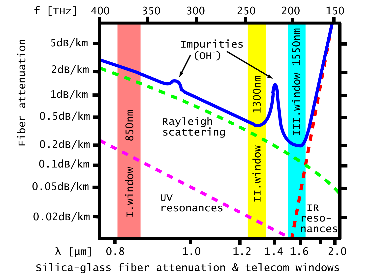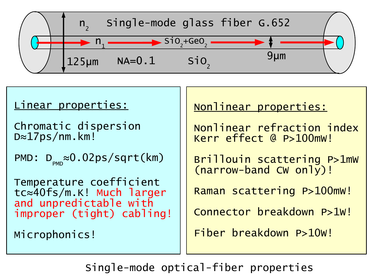



Single-mode optical-fiber properties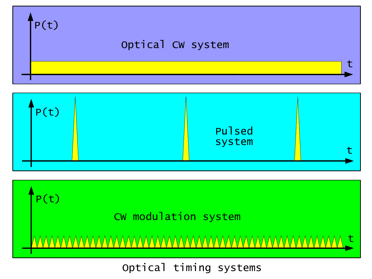





# Optical timing systems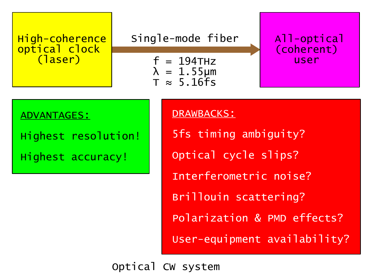

## Single-mode fiber

 $f = 194$ THz  $\lambda = 1.55 \mu m$  $T \approx 5.16$ fs

All-optical (coherent) user

#### ADVANTAGES:

Highest resolution!

Highest accuracy!

#### DRAWBACKS:

5fs timing ambiguity? Optical cycle slips? Interferometric noise? Brillouin scattering? Polarization & PMD effects? User-equipment availability?

Optical CW system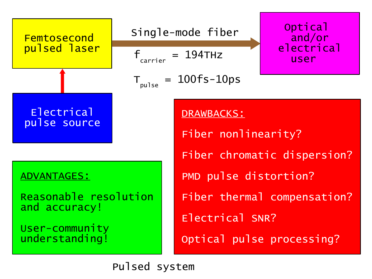

DRAWBACKS: Fiber nonlinearity? Fiber chromatic dispersion? PMD pulse distortion? Fiber thermal compensation? Electrical SNR? Optical pulse processing?

**Optical** 

and/or

electrical

user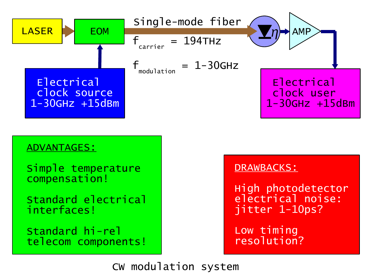

### ADVANTAGES:

Simple temperature compensation!

Standard electrical interfaces!

Standard hi-rel telecom components!

## DRAWBACKS:

High photodetector electrical noise: jitter 1-10ps?

Low timing resolution?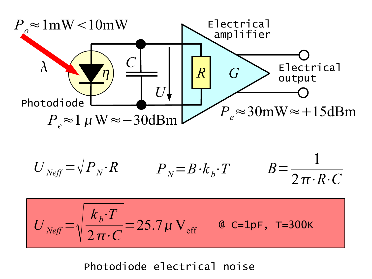

$$
U_{Neff} = \sqrt{P_N \cdot R} \qquad P_N = B \cdot k_b \cdot T \qquad B = \frac{1}{2 \pi \cdot R \cdot C}
$$

$$
U_{\text{Neff}} = \sqrt{\frac{k_b \cdot T}{2 \pi \cdot C}} = 25.7 \,\mu \, \text{V}_{\text{eff}} \qquad \text{a c=1pF, T=300K}
$$

Photodiode electrical noise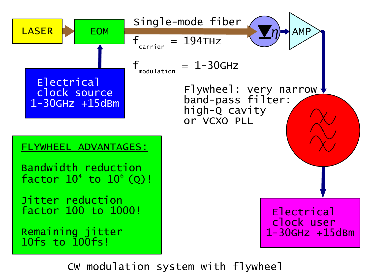

CW modulation system with flywheel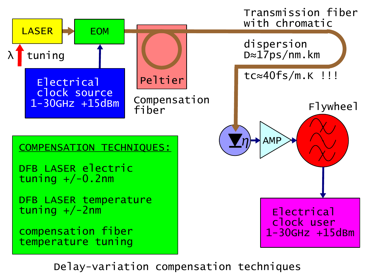

Delay-variation compensation techniques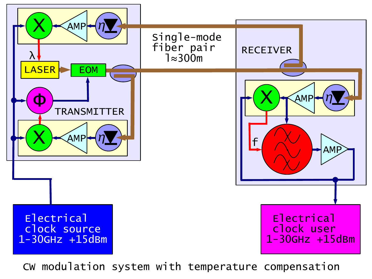

CW modulation system with temperature compensation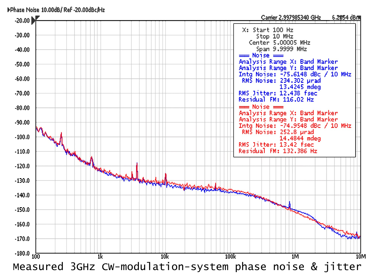

Phase Noise 10.00dBJ Ref -20.00dBcJHz

Measured 3GHz CW-modulation-system phase noise & jitter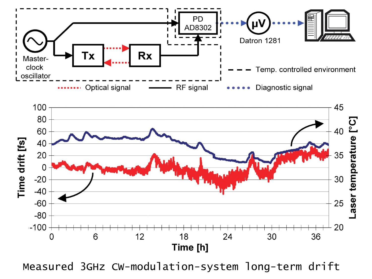



Measured 3GHz CW-modulation-system long-term drift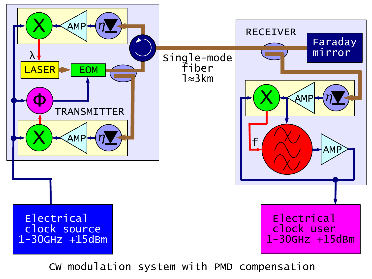

CW modulation system with PMD compensation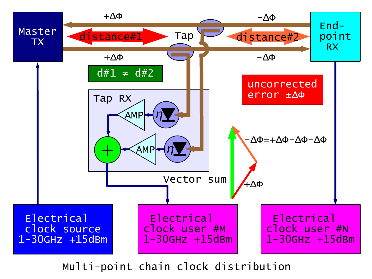

Multi-point chain clock distribution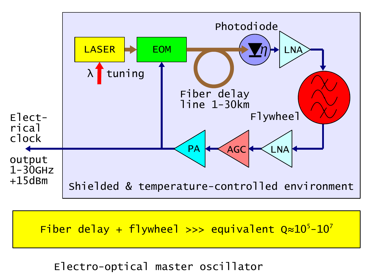

Fiber delay + flywheel >>> equivalent  $Q \approx 10^5 - 10^7$ 

Electro-optical master oscillator